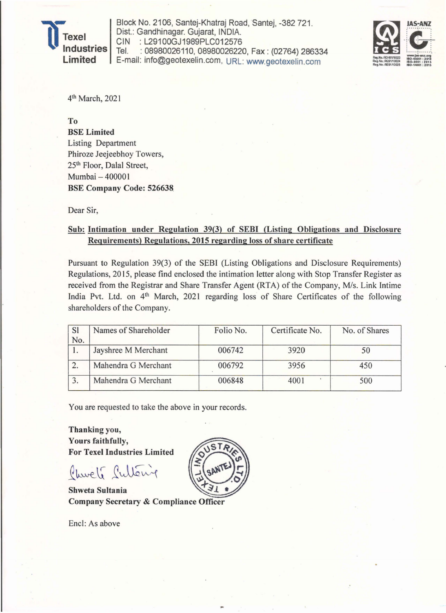

Block No. 2106, Santej-Khatraj Road, Santej, -382 721 . Dist.: Gandhinagar. Gujarat, INDIA. CIN : L29100GJ1989PLC012576<br>Tel. : 08980026110, 08980026220 : 08980026110, 08980026220, Fax: (02764) 286334 E-mail: info@geotexelin.c6m, URL: www.geotexelin.com



4th March, 2021

To

BSE Limited Listing Department Phiroze Jeejeebhoy Towers, 25th Floor, Dalal Street, Mumbai - 400001 BSE Company Code: 526638.

Dear Sir,

## Sub: Intimation under Regulation 39(3) of SEBI (Listing Obligations and Disclosure Requirements) Regulations, 2015 regarding loss of share certificate

Pursuant to Regulation 39(3) of the SEBI (Listing Obligations and Disclosure Requirements) Regulations, 2015, please find enclosed the intimation letter along with Stop Transfer Register as received from the Registrar and Share Transfer Agent (RTA) of the Company, *Mis.* Link Intime India Pvt. Ltd. on 4<sup>th</sup> March, 2021 regarding loss of Share Certificates of the following shareholders of the Company.

| <sub>S1</sub> | Names of Shareholder | Folio No. | Certificate No. | No. of Shares |  |  |
|---------------|----------------------|-----------|-----------------|---------------|--|--|
| No.           |                      |           |                 |               |  |  |
| 1.            | Jayshree M Merchant  | 006742    | 3920            | 50            |  |  |
|               | Mahendra G Merchant  | 006792    | 3956            | 450           |  |  |
|               | Mahendra G Merchant  | 006848    | 4001            | 500           |  |  |

You are requested to take the above in your records.

Thanking you, Yours faithfully, For Texel Industries Limited

Church Sultaing

Shweta Sultania Company Secretary & Compliance Officer

Encl: As above

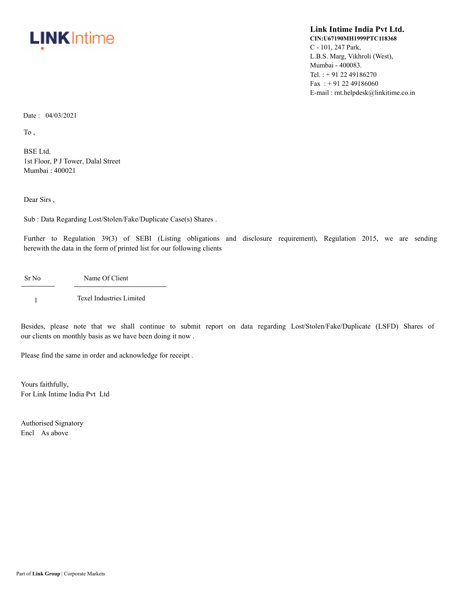

## **Link Intime India Pvt Ltd. CIN:U67190MH1999PTC118368** C - 101, 247 Park, L.B.S. Marg, Vikhroli (West), Mumbai - 400083. Tel. : + 91 22 49186270 Fax: +91 22 49186060 E-mail : rnt.helpdesk@linkitime.co.in

Date : 04/03/2021

To ,

BSE Ltd. 1st Floor, P J Tower, Dalal Street Mumbai : 400021

Dear Sirs ,

Sub : Data Regarding Lost/Stolen/Fake/Duplicate Case(s) Shares .

Further to Regulation 39(3) of SEBI (Listing obligations and disclosure requirement), Regulation 2015, we are sending herewith the data in the form of printed list for our following clients

Sr No Name Of Client

1 Texel Industries Limited

Besides, please note that we shall continue to submit report on data regarding Lost/Stolen/Fake/Duplicate (LSFD) Shares of our clients on monthly basis as we have been doing it now .

Please find the same in order and acknowledge for receipt .

Yours faithfully, For Link Intime India Pvt Ltd

Authorised Signatory Encl As above